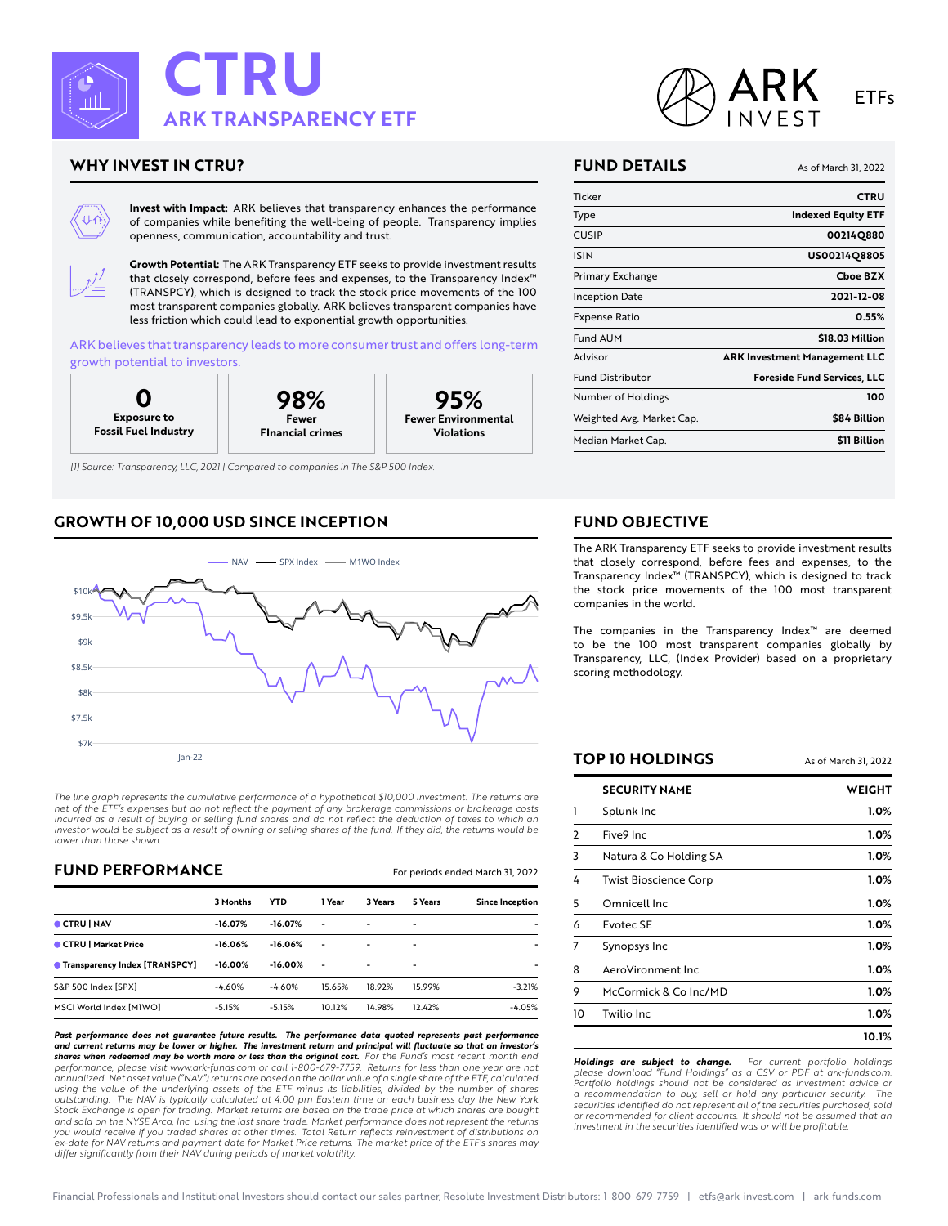

# **WHY INVEST IN CTRU?**

**Invest with Impact: ARK believes that transparency enhances the performance of companies while benefiting the well-being of people. Transparency implies openness, communication, accountability and trust.**



**Growth Potential: The ARK Transparency ETF seeks to provide investment results that closely correspond, before fees and expenses, to the Transparency Index™ (TRANSPCY), which is designed to track the stock price movements of the 100 most transparent companies globally. ARK believes transparent companies have less friction which could lead to exponential growth opportunities.**

**ARK believes that transparency leads to more consumer trust and offers long-term growth potential to investors.**



*[1] Source: Transparency, LLC, 2021 | Compared to companies in The S&P 500 Index.*

# **GROWTH OF 10,000 USD SINCE INCEPTION**



*The line graph represents the cumulative performance of a hypothetical \$10,000 investment. The returns are net of the ETF's expenses but do not reflect the payment of any brokerage commissions or brokerage costs incurred as a result of buying or selling fund shares and do not reflect the deduction of taxes to which an investor would be subject as a result of owning or selling shares of the fund. If they did, the returns would be lower than those shown.*

## **FUND PERFORMANCE For periods ended March 31, 2022**

|                                      | 3 Months   | <b>YTD</b> | 1 Year         | 3 Years                  | 5 Years                  | <b>Since Inception</b> |
|--------------------------------------|------------|------------|----------------|--------------------------|--------------------------|------------------------|
| CTRU   NAV                           | $-16.07%$  | $-16.07%$  | $\overline{a}$ | $\overline{\phantom{0}}$ | $\overline{\phantom{0}}$ | ٠                      |
| CTRU   Market Price                  | $-16.06%$  | $-16.06%$  | ۰              | $\overline{\phantom{0}}$ | $\overline{\phantom{0}}$ | ٠                      |
| <b>Transparency Index [TRANSPCY]</b> | $-16.00\%$ | $-16.00%$  | ٠              | $\overline{\phantom{0}}$ | $\overline{\phantom{0}}$ | ٠                      |
| S&P 500 Index [SPX]                  | $-4.60%$   | $-4.60%$   | 15.65%         | 18.92%                   | 15.99%                   | $-3.21%$               |
| MSCI World Index [M1WO]              | $-5.15%$   | $-5.15%$   | 10.12%         | 14.98%                   | 12.42%                   | $-4.05%$               |

*Past performance does not guarantee future results. The performance data quoted represents past performance and current returns may be lower or higher. The investment return and principal will fluctuate so that an investor's* **shares when redeemed may be worth more or less than the original cost.** For the Fund's most recent month end<br>performance, please visit www.ark-funds.com or call 1-800-679-7759. Returns for less than one year are not *annualized. Net asset value ("NAV") returns are based on the dollar value of a single share of the ETF, calculated using the value of the underlying assets of the ETF minus its liabilities, divided by the number of shares outstanding. The NAV is typically calculated at 4:00 pm Eastern time on each business day the New York Stock Exchange is open for trading. Market returns are based on the trade price at which shares are bought* and sold on the NYSE Arca, Inc. using the last share trade. Market performance does not represent the returns<br>you would receive if you traded shares at other times. Total Return reflects reinvestment of distributions on *ex-date for NAV returns and payment date for Market Price returns. The market price of the ETF's shares may differ significantly from their NAV during periods of market volatility.*



#### **FUND DETAILS As of March 31, 2022**

| Ticker                    | <b>CTRU</b>                          |
|---------------------------|--------------------------------------|
| Type                      | <b>Indexed Equity ETF</b>            |
| CUSIP                     | 00214Q880                            |
| <b>ISIN</b>               | US00214Q8805                         |
| Primary Exchange          | <b>Choe BZX</b>                      |
| Inception Date            | 2021-12-08                           |
| Expense Ratio             | 0.55%                                |
| <b>Fund AUM</b>           | \$18.03 Million                      |
| Advisor                   | <b>ARK Investment Management LLC</b> |
| <b>Fund Distributor</b>   | <b>Foreside Fund Services, LLC</b>   |
| Number of Holdings        | 100                                  |
| Weighted Avg. Market Cap. | \$84 Billion                         |
| Median Market Cap.        | \$11 Billion                         |

#### **FUND OBJECTIVE**

**The ARK Transparency ETF seeks to provide investment results that closely correspond, before fees and expenses, to the Transparency Index™ (TRANSPCY), which is designed to track the stock price movements of the 100 most transparent companies in the world.**

**The companies in the Transparency Index™ are deemed to be the 100 most transparent companies globally by Transparency, LLC, (Index Provider) based on a proprietary scoring methodology.**

## **TOP 10 HOLDINGS As of March 31, 2022**

|    | <b>SECURITY NAME</b>         | WEIGHT  |
|----|------------------------------|---------|
|    | Splunk Inc                   | $1.0\%$ |
| 2  | Five9 Inc                    | 1.0%    |
| 3  | Natura & Co Holding SA       | $1.0\%$ |
| 4  | <b>Twist Bioscience Corp</b> | $1.0\%$ |
| 5  | Omnicell Inc.                | 1.0%    |
| 6  | Evotec SE                    | 1.0%    |
| 7  | Synopsys Inc                 | 1.0%    |
| 8  | AeroVironment Inc            | 1.0%    |
| 9  | McCormick & Co Inc/MD        | $1.0\%$ |
| 10 | Twilio Inc                   | 1.0%    |
|    |                              | 10.1%   |

*Holdings are subject to change. For current portfolio holdings please download "Fund Holdings" as a CSV or PDF at ark-funds.com. Portfolio holdings should not be considered as investment advice or a recommendation to buy, sell or hold any particular security. The securities identified do not represent all of the securities purchased, sold or recommended for client accounts. It should not be assumed that an investment in the securities identified was or will be profitable.*